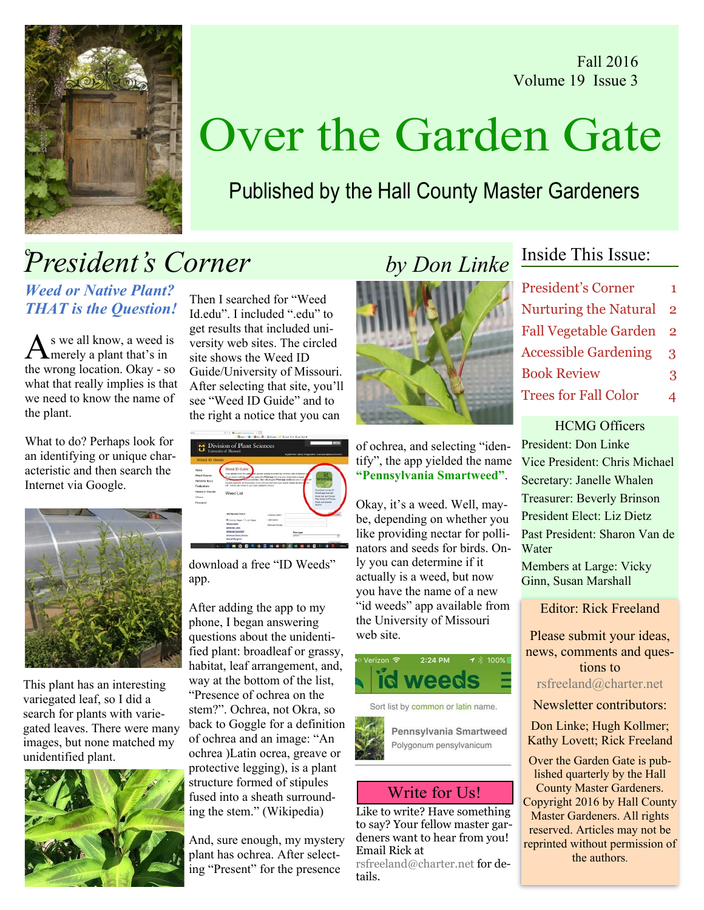Fall 2016 Volume 19 Issue 3



# Over the Garden Gate

Published by the Hall County Master Gardeners

## President's Corner by Don Linke

Weed or Native Plant? THAT is the Question!

As we all know, a weed is<br>Amerely a plant that's in the wrong location. Okay - so what that really implies is that we need to know the name of the plant.

What to do? Perhaps look for an identifying or unique characteristic and then search the Internet via Google.



This plant has an interesting variegated leaf, so I did a search for plants with variegated leaves. There were many images, but none matched my unidentified plant.



Then I searched for "Weed Id.edu". I included "edu" to get results that included university web sites. The circled site shows the Weed ID Guide/University of Missouri. After selecting that site, you'll see "Weed ID Guide" and to the right a notice that you can



download a free "ID Weeds" app.

After adding the app to my phone, I began answering questions about the unidentified plant: broadleaf or grassy, habitat, leaf arrangement, and, way at the bottom of the list, "Presence of ochrea on the stem?". Ochrea, not Okra, so back to Goggle for a definition of ochrea and an image: "An ochrea )Latin ocrea, greave or protective legging), is a plant structure formed of stipules fused into a sheath surrounding the stem." (Wikipedia)

And, sure enough, my mystery plant has ochrea. After selecting "Present" for the presence



of ochrea, and selecting "identify", the app yielded the name "Pennsylvania Smartweed".

Okay, it's a weed. Well, maybe, depending on whether you like providing nectar for pollinators and seeds for birds. Only you can determine if it actually is a weed, but now you have the name of a new "id weeds" app available from the University of Missouri web site.



Sort list by common or latin name.



### Write for Us!

Like to write? Have something to say? Your fellow master gardeners want to hear from you! Email Rick at

[rsfreeland@charter.net](mailto:rsfreeland@charter.net) for details.

### Inside This Issue:

| <b>President's Corner</b>    | 1.            |
|------------------------------|---------------|
| <b>Nurturing the Natural</b> | $\mathcal{P}$ |
| <b>Fall Vegetable Garden</b> | $\mathcal{P}$ |
| <b>Accessible Gardening</b>  | 3             |
| <b>Book Review</b>           | 3             |
| <b>Trees for Fall Color</b>  | 4             |
|                              |               |

HCMG Officers President: Don Linke Vice President: Chris Michael Secretary: Janelle Whalen Treasurer: Beverly Brinson President Elect: Liz Dietz Past President: Sharon Van de **Water** Members at Large: Vicky Ginn, Susan Marshall

Editor: Rick Freeland

Please submit your ideas, news, comments and questions to [rsfreeland@charter.net](mailto:rsfreeland@charter.net)

Newsletter contributors:

Don Linke; Hugh Kollmer; Kathy Lovett; Rick Freeland

Over the Garden Gate is published quarterly by the Hall County Master Gardeners. Copyright 2016 by Hall County Master Gardeners. All rights reserved. Articles may not be reprinted without permission of the authors.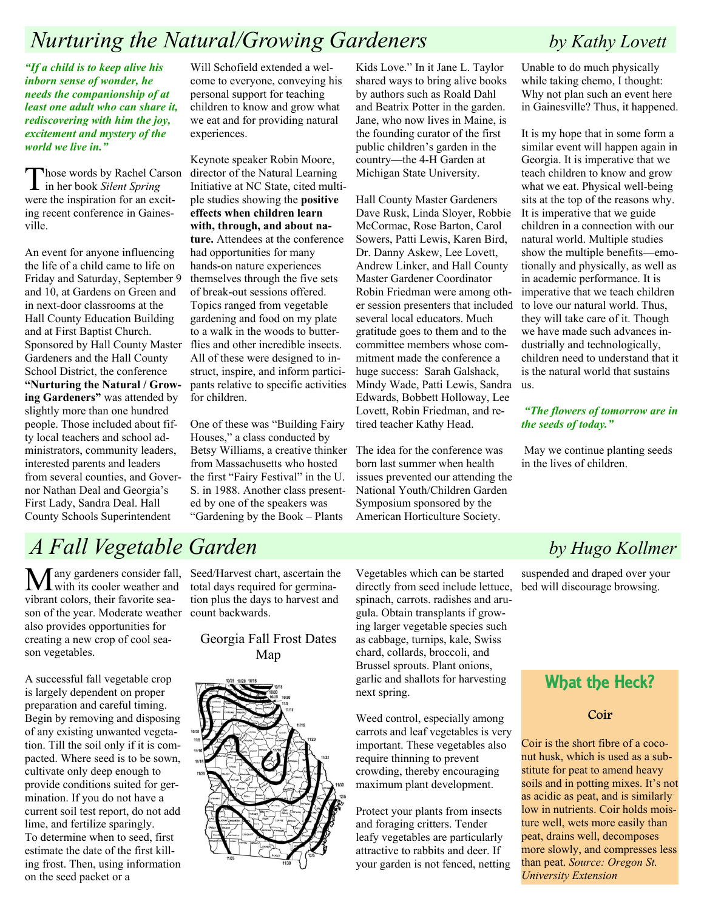### Nurturing the Natural/Growing Gardeners by Kathy Lovett

"If a child is to keep alive his inborn sense of wonder, he needs the companionship of at least one adult who can share it, rediscovering with him the joy, excitement and mystery of the world we live in."

Those words by Rachel Carson<br>in her book Silent Spring were the inspiration for an exciting recent conference in Gainesville.

An event for anyone influencing the life of a child came to life on Friday and Saturday, September 9 and 10, at Gardens on Green and in next-door classrooms at the Hall County Education Building and at First Baptist Church. Sponsored by Hall County Master flies and other incredible insects. Gardeners and the Hall County School District, the conference "Nurturing the Natural / Growing Gardeners" was attended by slightly more than one hundred people. Those included about fifty local teachers and school administrators, community leaders, interested parents and leaders from several counties, and Governor Nathan Deal and Georgia's First Lady, Sandra Deal. Hall County Schools Superintendent

Will Schofield extended a welcome to everyone, conveying his personal support for teaching children to know and grow what we eat and for providing natural experiences.

Keynote speaker Robin Moore, director of the Natural Learning Initiative at NC State, cited multiple studies showing the positive effects when children learn with, through, and about nature. Attendees at the conference had opportunities for many hands-on nature experiences themselves through the five sets of break-out sessions offered. Topics ranged from vegetable gardening and food on my plate to a walk in the woods to butter-All of these were designed to instruct, inspire, and inform participants relative to specific activities for children.

One of these was "Building Fairy Houses," a class conducted by Betsy Williams, a creative thinker The idea for the conference was from Massachusetts who hosted the first "Fairy Festival" in the U. S. in 1988. Another class presented by one of the speakers was "Gardening by the Book – Plants

Kids Love." In it Jane L. Taylor shared ways to bring alive books by authors such as Roald Dahl and Beatrix Potter in the garden. Jane, who now lives in Maine, is the founding curator of the first public children's garden in the country—the 4-H Garden at Michigan State University.

Hall County Master Gardeners Dave Rusk, Linda Sloyer, Robbie McCormac, Rose Barton, Carol Sowers, Patti Lewis, Karen Bird, Dr. Danny Askew, Lee Lovett, Andrew Linker, and Hall County Master Gardener Coordinator Robin Friedman were among other session presenters that included several local educators. Much gratitude goes to them and to the committee members whose commitment made the conference a huge success: Sarah Galshack, Mindy Wade, Patti Lewis, Sandra Edwards, Bobbett Holloway, Lee Lovett, Robin Friedman, and retired teacher Kathy Head.

born last summer when health issues prevented our attending the National Youth/Children Garden Symposium sponsored by the American Horticulture Society.

Unable to do much physically while taking chemo, I thought: Why not plan such an event here in Gainesville? Thus, it happened.

It is my hope that in some form a similar event will happen again in Georgia. It is imperative that we teach children to know and grow what we eat. Physical well-being sits at the top of the reasons why. It is imperative that we guide children in a connection with our natural world. Multiple studies show the multiple benefits—emotionally and physically, as well as in academic performance. It is imperative that we teach children to love our natural world. Thus, they will take care of it. Though we have made such advances industrially and technologically, children need to understand that it is the natural world that sustains us.

#### "The flowers of tomorrow are in the seeds of today."

 May we continue planting seeds in the lives of children.

suspended and draped over your bed will discourage browsing.

### What the Heck?

#### Coir

Coir is the short fibre of a coconut husk, which is used as a substitute for peat to amend heavy soils and in potting mixes. It's not as acidic as peat, and is similarly low in nutrients. Coir holds moisture well, wets more easily than peat, drains well, decomposes more slowly, and compresses less than peat. Source: Oregon St. University Extension

## A Fall Vegetable Garden by Hugo Kollmer

Many gardeners consider fall, with its cooler weather and vibrant colors, their favorite season of the year. Moderate weather count backwards. also provides opportunities for creating a new crop of cool season vegetables.

A successful fall vegetable crop is largely dependent on proper preparation and careful timing. Begin by removing and disposing of any existing unwanted vegetation. Till the soil only if it is compacted. Where seed is to be sown, cultivate only deep enough to provide conditions suited for germination. If you do not have a current soil test report, do not add lime, and fertilize sparingly. To determine when to seed, first estimate the date of the first killing frost. Then, using information on the seed packet or a

Seed/Harvest chart, ascertain the total days required for germination plus the days to harvest and

Georgia Fall Frost Dates Map



Vegetables which can be started directly from seed include lettuce, spinach, carrots. radishes and arugula. Obtain transplants if growing larger vegetable species such as cabbage, turnips, kale, Swiss chard, collards, broccoli, and Brussel sprouts. Plant onions, garlic and shallots for harvesting next spring.

Weed control, especially among carrots and leaf vegetables is very important. These vegetables also require thinning to prevent crowding, thereby encouraging maximum plant development.

Protect your plants from insects and foraging critters. Tender leafy vegetables are particularly attractive to rabbits and deer. If your garden is not fenced, netting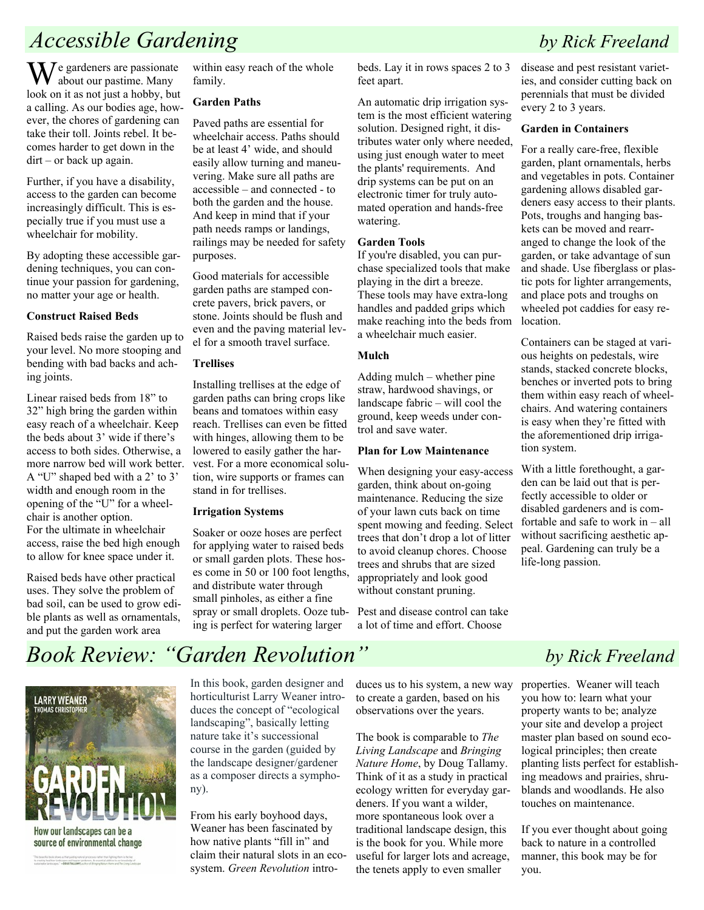### Accessible Gardening by Rick Freeland

 $\mathbf{W}$ e gardeners are passionate about our pastime. Many look on it as not just a hobby, but a calling. As our bodies age, however, the chores of gardening can take their toll. Joints rebel. It becomes harder to get down in the dirt – or back up again.

Further, if you have a disability, access to the garden can become increasingly difficult. This is especially true if you must use a wheelchair for mobility.

By adopting these accessible gardening techniques, you can continue your passion for gardening, no matter your age or health.

#### Construct Raised Beds

Raised beds raise the garden up to your level. No more stooping and bending with bad backs and aching joints.

Linear raised beds from 18" to 32" high bring the garden within easy reach of a wheelchair. Keep the beds about 3' wide if there's access to both sides. Otherwise, a more narrow bed will work better. A "U" shaped bed with a 2' to 3' width and enough room in the opening of the "U" for a wheelchair is another option. For the ultimate in wheelchair access, raise the bed high enough to allow for knee space under it.

Raised beds have other practical uses. They solve the problem of bad soil, can be used to grow edible plants as well as ornamentals, and put the garden work area

within easy reach of the whole family.

#### Garden Paths

Paved paths are essential for wheelchair access. Paths should be at least 4' wide, and should easily allow turning and maneuvering. Make sure all paths are accessible – and connected - to both the garden and the house. And keep in mind that if your path needs ramps or landings, railings may be needed for safety purposes.

Good materials for accessible garden paths are stamped concrete pavers, brick pavers, or stone. Joints should be flush and even and the paving material level for a smooth travel surface.

#### **Trellises**

Installing trellises at the edge of garden paths can bring crops like beans and tomatoes within easy reach. Trellises can even be fitted with hinges, allowing them to be lowered to easily gather the harvest. For a more economical solution, wire supports or frames can stand in for trellises.

#### Irrigation Systems

Soaker or ooze hoses are perfect for applying water to raised beds or small garden plots. These hoses come in 50 or 100 foot lengths, and distribute water through small pinholes, as either a fine spray or small droplets. Ooze tubing is perfect for watering larger

beds. Lay it in rows spaces 2 to 3 feet apart.

An automatic drip irrigation system is the most efficient watering solution. Designed right, it distributes water only where needed, using just enough water to meet the plants' requirements. And drip systems can be put on an electronic timer for truly automated operation and hands-free watering.

#### Garden Tools

If you're disabled, you can purchase specialized tools that make playing in the dirt a breeze. These tools may have extra-long handles and padded grips which make reaching into the beds from a wheelchair much easier.

#### Mulch

Adding mulch – whether pine straw, hardwood shavings, or landscape fabric – will cool the ground, keep weeds under control and save water.

#### Plan for Low Maintenance

When designing your easy-access garden, think about on-going maintenance. Reducing the size of your lawn cuts back on time spent mowing and feeding. Select trees that don't drop a lot of litter to avoid cleanup chores. Choose trees and shrubs that are sized appropriately and look good without constant pruning.

Pest and disease control can take a lot of time and effort. Choose

disease and pest resistant varieties, and consider cutting back on perennials that must be divided every 2 to 3 years.

#### Garden in Containers

For a really care-free, flexible garden, plant ornamentals, herbs and vegetables in pots. Container gardening allows disabled gardeners easy access to their plants. Pots, troughs and hanging baskets can be moved and rearranged to change the look of the garden, or take advantage of sun and shade. Use fiberglass or plastic pots for lighter arrangements, and place pots and troughs on wheeled pot caddies for easy relocation.

Containers can be staged at various heights on pedestals, wire stands, stacked concrete blocks, benches or inverted pots to bring them within easy reach of wheelchairs. And watering containers is easy when they're fitted with the aforementioned drip irrigation system.

With a little forethought, a garden can be laid out that is perfectly accessible to older or disabled gardeners and is comfortable and safe to work in – all without sacrificing aesthetic appeal. Gardening can truly be a life-long passion.

## Book Review: "Garden Revolution" by Rick Freeland



.<br>This beautiful book shows an that qualing reduced processes rather than fighting them in the key.<br>In creating healther landscapes - ADDID TALLAMY, without at Bringing Nature Here and the climp of Limit.

In this book, garden designer and horticulturist Larry Weaner introduces the concept of "ecological landscaping", basically letting nature take it's successional course in the garden (guided by the landscape designer/gardener as a composer directs a symphony).

From his early boyhood days, Weaner has been fascinated by how native plants "fill in" and claim their natural slots in an ecosystem. Green Revolution intro-

duces us to his system, a new way to create a garden, based on his observations over the years.

The book is comparable to The Living Landscape and Bringing Nature Home, by Doug Tallamy. Think of it as a study in practical ecology written for everyday gardeners. If you want a wilder, more spontaneous look over a traditional landscape design, this is the book for you. While more useful for larger lots and acreage, the tenets apply to even smaller

properties. Weaner will teach you how to: learn what your property wants to be; analyze your site and develop a project master plan based on sound ecological principles; then create planting lists perfect for establishing meadows and prairies, shrublands and woodlands. He also touches on maintenance.

If you ever thought about going back to nature in a controlled manner, this book may be for you.